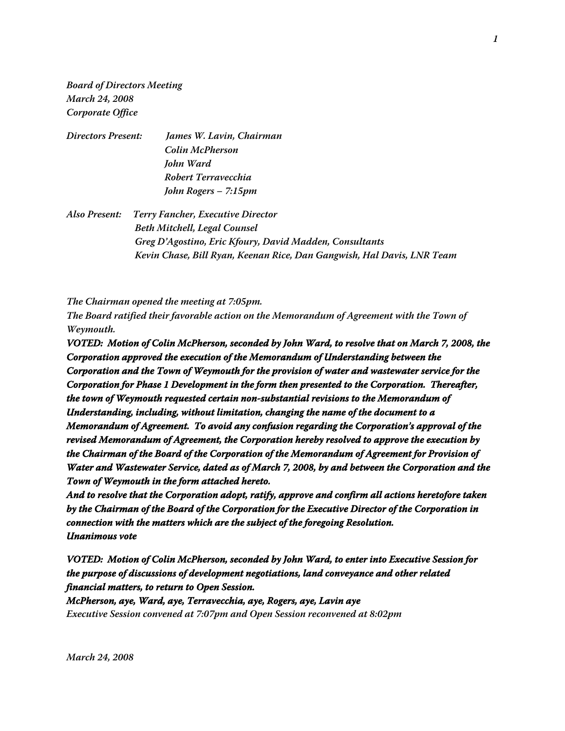**Board of Directors Meeting March 24, 2008 Corporate Office**

| James W. Lavin, Chairman |
|--------------------------|
| Colin McPherson          |
| John Ward                |
| Robert Terravecchia      |
| John Rogers – 7:15pm     |
|                          |

**Also Present: Terry Fancher, Executive Director Beth Mitchell, Legal Counsel Greg D'Agostino, Eric Kfoury, David Madden, Consultants Kevin Chase, Bill Ryan, Keenan Rice, Dan Gangwish, Hal Davis, LNR Team**

**The Chairman opened the meeting at 7:05pm.**

**The Board ratified their favorable action on the Memorandum of Agreement with the Town of Weymouth.**

**VOTED: Motion of Colin McPherson, seconded by John Ward, to resolve that on March 7, 2008, the Corporation approved the execution of the Memorandum of Understanding between the Corporation and the Town of Weymouth for the provision of water and wastewater service for the Corporation for Phase 1 Development in the form then presented to the Corporation. Thereafter, the town of Weymouth requested certain non-substantial revisions to the Memorandum of Understanding, including, without limitation, changing the name of the document to a Memorandum of Agreement. To avoid any confusion regarding the Corporation's approval of the revised Memorandum of Agreement, the Corporation hereby resolved to approve the execution by the Chairman of the Board of the Corporation of the Memorandum of Agreement for Provision of Water and Wastewater Service, dated as of March 7, 2008, by and between the Corporation and the Town of Weymouth in the form attached hereto.**

**And to resolve that the Corporation adopt, ratify, approve and confirm all actions heretofore taken by the Chairman of the Board of the Corporation for the Executive Director of the Corporation in connection with the matters which are the subject of the foregoing Resolution. Unanimous vote**

**VOTED: Motion of Colin McPherson, seconded by John Ward, to enter into Executive Session for the purpose of discussions of development negotiations, land conveyance and other related financial matters, to return to Open Session.**

**McPherson, aye, Ward, aye, Terravecchia, aye, Rogers, aye, Lavin aye Executive Session convened at 7:07pm and Open Session reconvened at 8:02pm**

**March 24, 2008**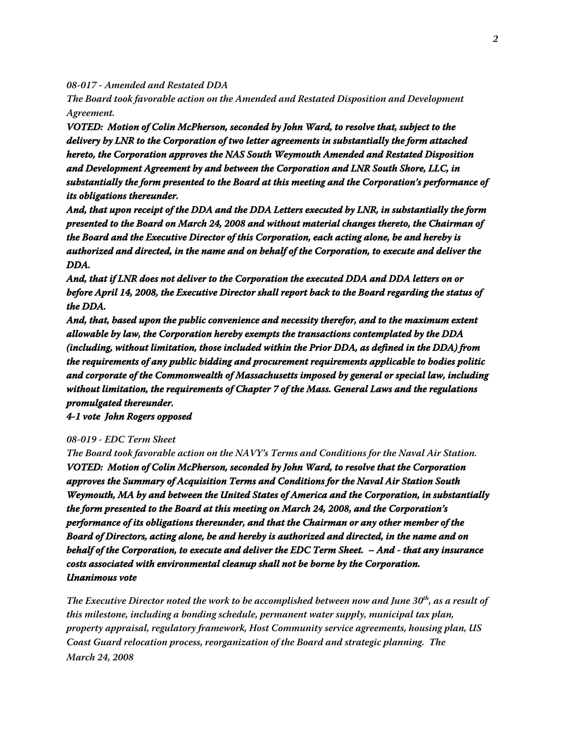**08-017 - Amended and Restated DDA**

**The Board took favorable action on the Amended and Restated Disposition and Development Agreement.**

**VOTED: Motion of Colin McPherson, seconded by John Ward, to resolve that, subject to the delivery by LNR to the Corporation of two letter agreements in substantially the form attached hereto, the Corporation approves the NAS South Weymouth Amended and Restated Disposition and Development Agreement by and between the Corporation and LNR South Shore, LLC, in substantially the form presented to the Board at this meeting and the Corporation's performance of its obligations thereunder.**

**And, that upon receipt of the DDA and the DDA Letters executed by LNR, in substantially the form presented to the Board on March 24, 2008 and without material changes thereto, the Chairman of the Board and the Executive Director of this Corporation, each acting alone, be and hereby is authorized and directed, in the name and on behalf of the Corporation, to execute and deliver the DDA.**

**And, that if LNR does not deliver to the Corporation the executed DDA and DDA letters on or before April 14, 2008, the Executive Director shall report back to the Board regarding the status of the DDA.**

**And, that, based upon the public convenience and necessity therefor, and to the maximum extent allowable by law, the Corporation hereby exempts the transactions contemplated by the DDA (including, without limitation, those included within the Prior DDA, as defined in the DDA) from the requirements of any public bidding and procurement requirements applicable to bodies politic and corporate of the Commonwealth of Massachusetts imposed by general or special law, including without limitation, the requirements of Chapter 7 of the Mass. General Laws and the regulations promulgated thereunder.**

**4-1 vote John Rogers opposed**

## **08-019 - EDC Term Sheet**

**The Board took favorable action on the NAVY's Terms and Conditions for the Naval Air Station. VOTED: Motion of Colin McPherson, seconded by John Ward, to resolve that the Corporation approves the Summary of Acquisition Terms and Conditions for the Naval Air Station South Weymouth, MA by and between the United States of America and the Corporation, in substantially the form presented to the Board at this meeting on March 24, 2008, and the Corporation's performance of its obligations thereunder, and that the Chairman or any other member of the Board of Directors, acting alone, be and hereby is authorized and directed, in the name and on behalf of the Corporation, to execute and deliver the EDC Term Sheet. – And - that any insurance costs associated with environmental cleanup shall not be borne by the Corporation. Unanimous vote**

**March 24, 2008 The Executive Director noted the work to be accomplished between now and June 30th, as a result of this milestone, including a bonding schedule, permanent water supply, municipal tax plan, property appraisal, regulatory framework, Host Community service agreements, housing plan, US Coast Guard relocation process, reorganization of the Board and strategic planning. The**